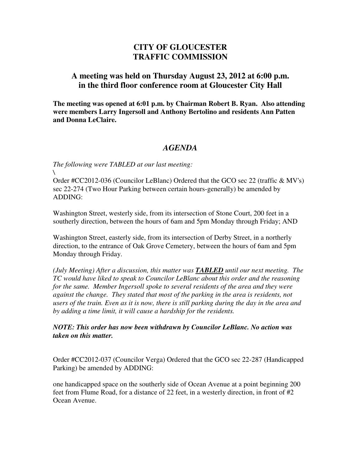## **CITY OF GLOUCESTER TRAFFIC COMMISSION**

## **A meeting was held on Thursday August 23, 2012 at 6:00 p.m. in the third floor conference room at Gloucester City Hall**

**The meeting was opened at 6:01 p.m. by Chairman Robert B. Ryan. Also attending were members Larry Ingersoll and Anthony Bertolino and residents Ann Patten and Donna LeClaire.** 

## *AGENDA*

*The following were TABLED at our last meeting: \* 

Order #CC2012-036 (Councilor LeBlanc) Ordered that the GCO sec 22 (traffic & MV's) sec 22-274 (Two Hour Parking between certain hours-generally) be amended by ADDING:

Washington Street, westerly side, from its intersection of Stone Court, 200 feet in a southerly direction, between the hours of 6am and 5pm Monday through Friday; AND

Washington Street, easterly side, from its intersection of Derby Street, in a northerly direction, to the entrance of Oak Grove Cemetery, between the hours of 6am and 5pm Monday through Friday.

*(July Meeting) After a discussion, this matter was TABLED until our next meeting. The TC would have liked to speak to Councilor LeBlanc about this order and the reasoning for the same. Member Ingersoll spoke to several residents of the area and they were against the change. They stated that most of the parking in the area is residents, not users of the train. Even as it is now, there is still parking during the day in the area and by adding a time limit, it will cause a hardship for the residents.* 

*NOTE: This order has now been withdrawn by Councilor LeBlanc. No action was taken on this matter.* 

Order #CC2012-037 (Councilor Verga) Ordered that the GCO sec 22-287 (Handicapped Parking) be amended by ADDING:

one handicapped space on the southerly side of Ocean Avenue at a point beginning 200 feet from Flume Road, for a distance of 22 feet, in a westerly direction, in front of #2 Ocean Avenue.